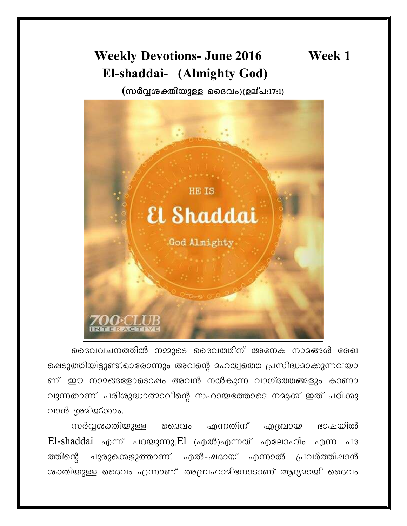# **Weekly Devotions- June 2016** El-shaddai- (Almighty God)

(സർവ്വശക്തിയുള്ള ദൈവം)(ഉല്പ:17:1)



ദൈവവചനത്തിൽ നമ്മുടെ ദൈവത്തിന് അനേക നാമങ്ങൾ രേഖ ഷെടുത്തിയിട്ടുണ്ട്.ഓരോന്നും അവന്റെ മഹത്വത്തെ പ്രസിദ്ധമാക്കുന്നവയാ ണ്. ഈ നാമങ്ങളോടൊഷം അവൻ നൽകുന്ന വാഗ്ദത്തങ്ങളും കാണാ വുന്നതാണ്. പരിശുദ്ധാത്മാവിന്റെ സഹായത്തോടെ നമുക്ക് ഇത് പഠിക്കു വാൻ ശ്രമിയ്ക്കാം.

സർവ്വശക്തിയുള്ള ഹന്നതിന് ഭാഷയിൽ ൈവം എബ്രായ  $E$ l-shaddai എന്ന് പറയുന്നു, $E1$  (എൽ)എന്നത് എലോഹീം എന്ന പദ ത്തിന്റെ ചുരുക്കെഴുത്താണ്. എൽ-ഷദായ് എന്നാൽ പ്രവർത്തിപ്പാൻ ശക്തിയുള്ള ദൈവം എന്നാണ്. അബ്രഹാമിനോടാണ് ആദ്യമായി ദൈവം

Week 1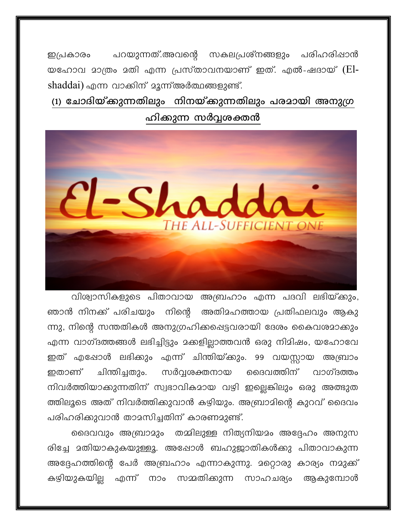പറയുന്നത്.അവന്റെ സകലപ്രശ്നങ്ങളും പരിഹരിഷാൻ ഇപ്രകാരം യഹോവ മാത്രം മതി എന്ന പ്രസ്താവനയാണ് ഇത്. എൽ-ഷദായ് (Elshaddai) എന്ന വാക്കിന് മൂന്ന് അർത്ഥങ്ങളുണ്ട്.

(1) ചോദിയ്ക്കുന്നതിലും നിനയ്ക്കുന്നതിലും പരമായി അനുഗ്ര ഹിക്കുന്ന സർവ്വശക്തൻ



വിശ്വാസികളുടെ പിതാവായ അബ്രഹാം എന്ന പദവി ലഭിയ്ക്കും, ഞാൻ നിനക്ക് പരിചയും നിന്റെ അതിമഹത്തായ പ്രതിഫലവും ആകു ന്നു, നിന്റെ സന്തതികൾ അനുഗ്രഹിക്കപ്പെട്ടവരായി ദേശം കൈവശമാക്കും എന്ന വാഗ്ദത്തങ്ങൾ ലഭിച്ചിട്ടും മക്കളില്ലാത്തവൻ ഒരു നിമിഷം, യഹോവേ ഇത് എഷോൾ ലഭിക്കും എന്ന് ചിന്തിയ്ക്കും. 99 വയസ്സായ അബ്രാം ചിന്തിച്ചതും. സർവ്വശക്തനായ ദൈവത്തിന് വാഗ്ദത്തം ഇതാണ് നിവർത്തിയാക്കുന്നതിന് സ്വഭാവികമായ വഴി ഇല്ലെങ്കിലും ഒരു അത്ഭുത ത്തിലൂടെ അത് നിവർത്തിക്കുവാൻ കഴിയും. അബ്രാമിന്റെ കുറവ് ദൈവം പരിഹരിക്കുവാൻ താമസിച്ചതിന് കാരണമുണ്ട്.

ദൈവവും അബ്രാമും തമ്മിലുള്ള നിത്യനിയമം അദ്ദേഹം അനുസ രിച്ചേ മതിയാകുകയുള്ളൂ. അഷോൾ ബഹുജാതികൾക്കു പിതാവാകുന്ന അദ്ദേഹത്തിന്റെ പേർ അബ്രഹാം എന്നാകുന്നു. മറ്റൊരു കാര്യം നമുക്ക് കഴിയുകയില്ല എന്ന് നാം സമ്മതിക്കുന്ന സാഹചര്യം ആകുമ്പോൾ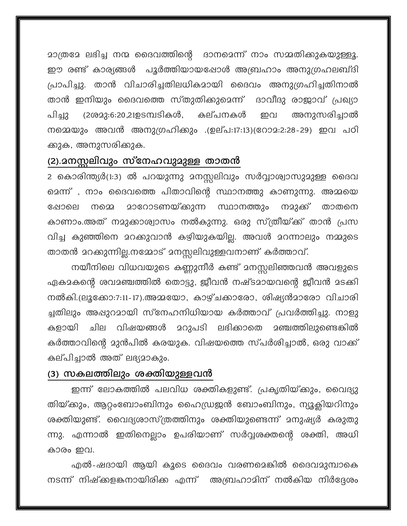മാത്രമേ ലഭിച്ച നന്മ ദൈവത്തിന്റെ ദാനമെന്ന് നാം സമ്മതിക്കുകയുള്ളൂ. ഈ രണ്ട് കാര്യങ്ങൾ പൂർത്തിയായഷോൾ അബ്രഹാം അനുഗ്രഹലബ്ദി പ്രാപിച്ചു. താൻ വിചാരിച്ചതിലധികമായി ദൈവം അനുഗ്രഹിച്ചതിനാൽ താൻ ഇനിയും ദൈവത്തെ സ്തുതിക്കുമെന്ന് ദാവീദു രാജാവ് പ്രഖ്യാ പിച്ചു (2ശ22:6:20,21ഉടമ്പടികൾ, അനുസരിച്ചാൽ കല്പനകൾ ഇവ നമ്മെയും അവൻ അനുഗ്രഹിക്കും .(ഉല്പ:17:13)(റോമ:2:28-29) ഇവ പഠി ക്കുക, അനുസരിക്കുക.

## (2).മനസ്സലിവും സ്നേഹവുമുള്ള താതൻ

2 കൊരിന്ത്യർ(1:3) ൽ പറയുന്നു മനസ്സലിവും സർവ്വാശ്വാസുമുള്ള ദൈവ മെന്ന് , നാം ദൈവത്തെ പിതാവിന്റെ സ്ഥാനത്തു കാണുന്നു. അമ്മയെ <u> മാറോടണയ്കുന്ന സ്ഥാനത്തും</u> നമുക്ക് താതനെ ഷോലെ നമെ കാണാം.അത് നമുക്കാശ്വാസം നൽകുന്നു. ഒരു സ്ത്രീയ്ക്ക് താൻ പ്രസ വിച്ച കുഞ്ഞിനെ മറക്കുവാൻ കഴിയുകയില്ല. അവൾ മറന്നാലും നമ്മുടെ താതൻ മറക്കുന്നില്ല.നമ്മോട് മനസ്സലിവുള്ളവനാണ് കർത്താവ്.

നയീനിലെ വിധവയുടെ കണ്ണുനീർ കണ്ട് മനസ്സലിഞ്ഞവൻ അവളുടെ ഏകമകന്റെ ശവമഞ്ചത്തിൽ തൊട്ടു, ജീവൻ നഷ്ടമായവന്റെ ജീവൻ മടക്കി നൽകി.(ലൂക്കോ:7:11-17).അമയോ, കാഴ്ചക്കാരോ, ശിഷ്യൻമാരോ വിചാരി ച്ചതിലും അഷുറമായി സ്നേഹനിധിയായ കർത്താവ് പ്രവർത്തിച്ചു. നാളു 2റുപടി ലഭിക്കാതെ 2ഞ്ചത്തിലുണ്ടെങ്കിൽ വിഷയങ്ങൾ കളായി விப കർത്താവിന്റെ മുൻപിൽ കരയുക. വിഷയത്തെ സ്പർശിച്ചാൽ, ഒരു വാക്ക് കല്പിച്ചാൽ അത് ലഭ്യമാകും.

### (3) സകലത്തിലും ശക്തിയുള്ളവൻ

ഇന്ന് ലോകത്തിൽ പലവിധ ശക്തികളുണ്ട്. പ്രകൃതിയ്ക്കും, വൈദ്യു തിയ്ക്കും, ആറ്റംബോംബിനും ഹൈഡ്രജൻ ബോംബിനും, ന്യൂക്ലിയറിനും ശക്തിയുണ്ട്. വൈദ്യശാസ്ത്രത്തിനും ശക്തിയുണ്ടെന്ന് മനുഷ്യർ കരുതു ന്നു. എന്നാൽ ഇതിനെല്ലാം ഉപരിയാണ് സർവ്വശക്തന്റെ ശക്തി, അധി കാരം ഇവ.

എൽ-ഷദായി ആയി കൂടെ ദൈവം വരണമെങ്കിൽ ദൈവമുമ്പാകെ നടന്ന് നിഷ്ക്കളങ്കനായിരിക്ക എന്ന് അബ്രഹാമിന് നൽകിയ നിർദ്ദേശം